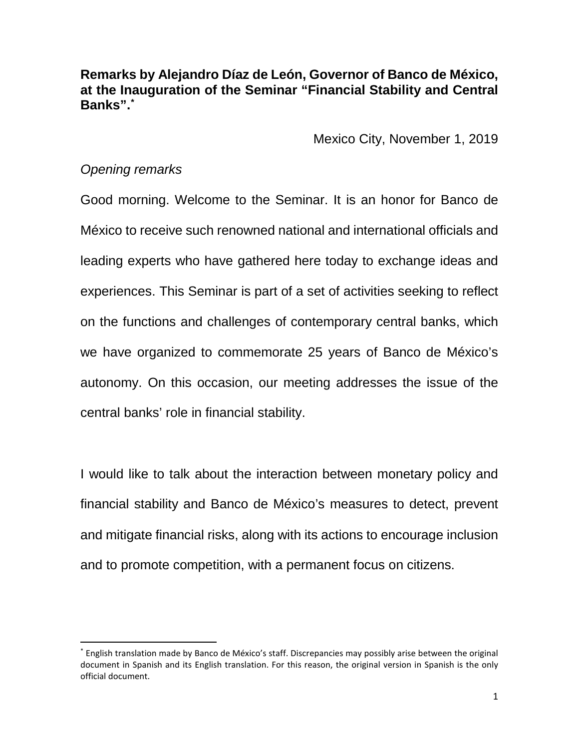**Remarks by Alejandro Díaz de León, Governor of Banco de México, at the Inauguration of the Seminar "Financial Stability and Central Banks". [\\*](#page-0-0)**

Mexico City, November 1, 2019

## *Opening remarks*

 $\overline{a}$ 

Good morning. Welcome to the Seminar. It is an honor for Banco de México to receive such renowned national and international officials and leading experts who have gathered here today to exchange ideas and experiences. This Seminar is part of a set of activities seeking to reflect on the functions and challenges of contemporary central banks, which we have organized to commemorate 25 years of Banco de México's autonomy. On this occasion, our meeting addresses the issue of the central banks' role in financial stability.

I would like to talk about the interaction between monetary policy and financial stability and Banco de México's measures to detect, prevent and mitigate financial risks, along with its actions to encourage inclusion and to promote competition, with a permanent focus on citizens.

<span id="page-0-0"></span><sup>\*</sup> English translation made by Banco de México's staff. Discrepancies may possibly arise between the original document in Spanish and its English translation. For this reason, the original version in Spanish is the only official document.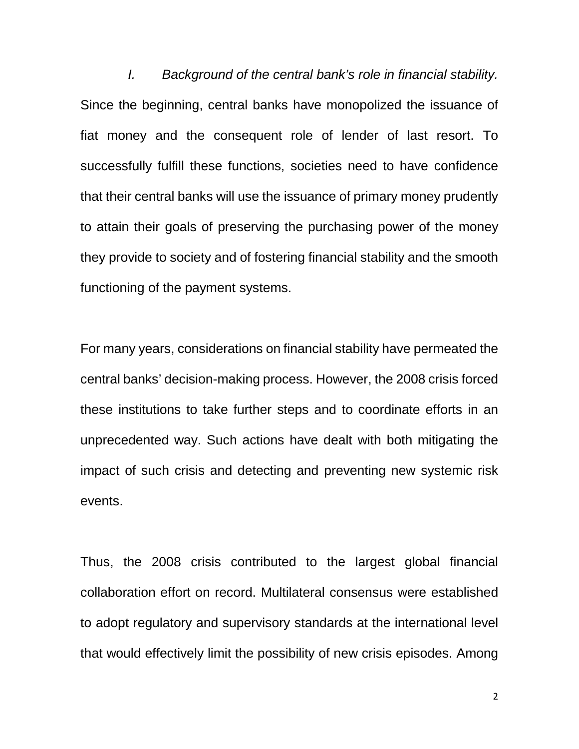*I. Background of the central bank's role in financial stability.* Since the beginning, central banks have monopolized the issuance of fiat money and the consequent role of lender of last resort. To successfully fulfill these functions, societies need to have confidence that their central banks will use the issuance of primary money prudently to attain their goals of preserving the purchasing power of the money they provide to society and of fostering financial stability and the smooth functioning of the payment systems.

For many years, considerations on financial stability have permeated the central banks' decision-making process. However, the 2008 crisis forced these institutions to take further steps and to coordinate efforts in an unprecedented way. Such actions have dealt with both mitigating the impact of such crisis and detecting and preventing new systemic risk events.

Thus, the 2008 crisis contributed to the largest global financial collaboration effort on record. Multilateral consensus were established to adopt regulatory and supervisory standards at the international level that would effectively limit the possibility of new crisis episodes. Among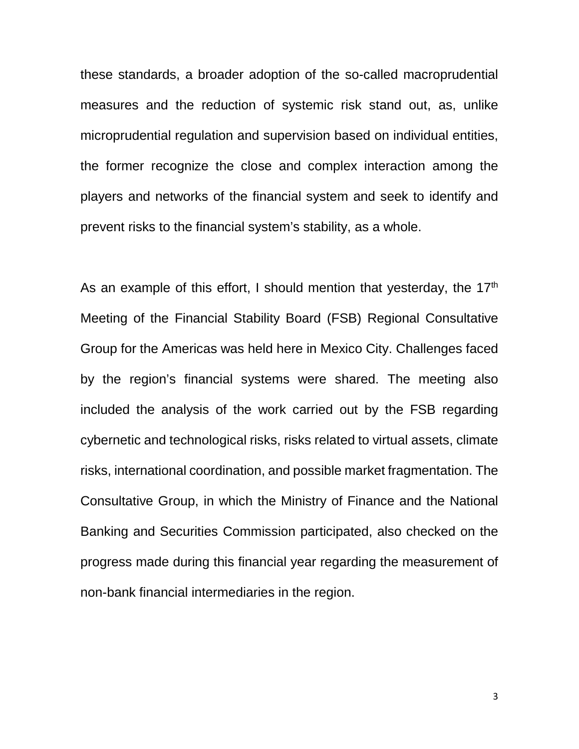these standards, a broader adoption of the so-called macroprudential measures and the reduction of systemic risk stand out, as, unlike microprudential regulation and supervision based on individual entities, the former recognize the close and complex interaction among the players and networks of the financial system and seek to identify and prevent risks to the financial system's stability, as a whole.

As an example of this effort, I should mention that yesterday, the 17<sup>th</sup> Meeting of the Financial Stability Board (FSB) Regional Consultative Group for the Americas was held here in Mexico City. Challenges faced by the region's financial systems were shared. The meeting also included the analysis of the work carried out by the FSB regarding cybernetic and technological risks, risks related to virtual assets, climate risks, international coordination, and possible market fragmentation. The Consultative Group, in which the Ministry of Finance and the National Banking and Securities Commission participated, also checked on the progress made during this financial year regarding the measurement of non-bank financial intermediaries in the region.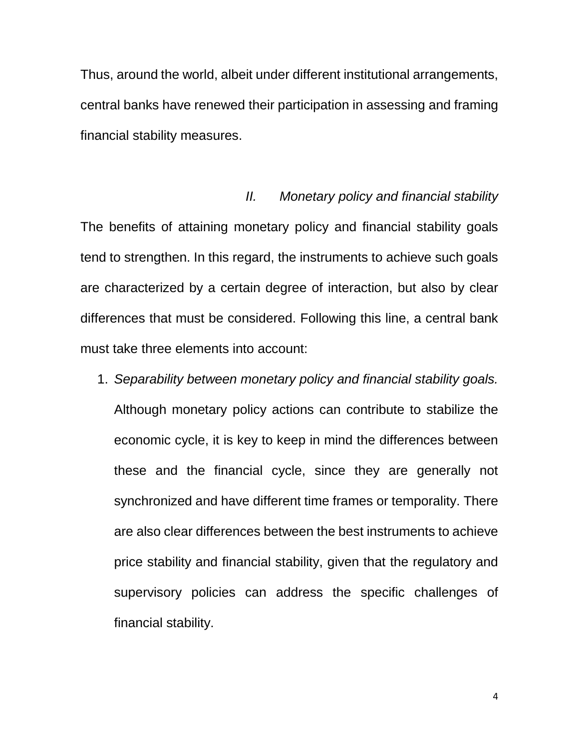Thus, around the world, albeit under different institutional arrangements, central banks have renewed their participation in assessing and framing financial stability measures.

## *II. Monetary policy and financial stability*

The benefits of attaining monetary policy and financial stability goals tend to strengthen. In this regard, the instruments to achieve such goals are characterized by a certain degree of interaction, but also by clear differences that must be considered. Following this line, a central bank must take three elements into account:

1. *Separability between monetary policy and financial stability goals.* Although monetary policy actions can contribute to stabilize the economic cycle, it is key to keep in mind the differences between these and the financial cycle, since they are generally not synchronized and have different time frames or temporality. There are also clear differences between the best instruments to achieve price stability and financial stability, given that the regulatory and supervisory policies can address the specific challenges of financial stability.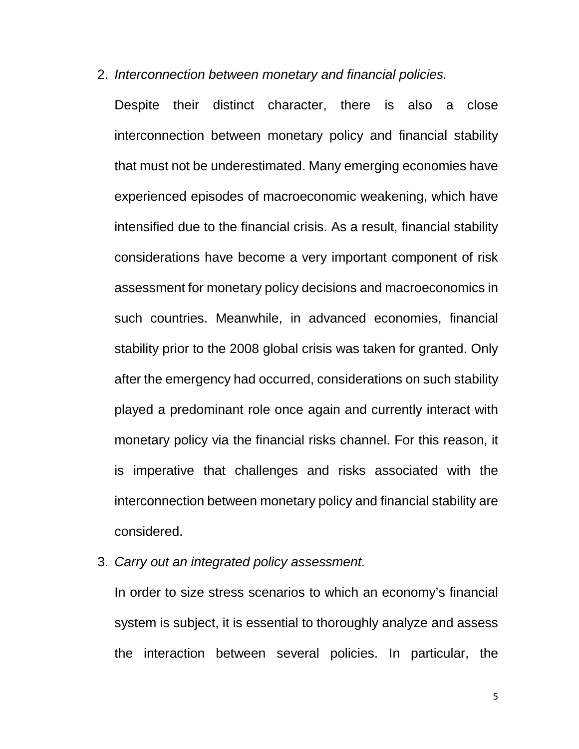2. *Interconnection between monetary and financial policies.*

Despite their distinct character, there is also a close interconnection between monetary policy and financial stability that must not be underestimated. Many emerging economies have experienced episodes of macroeconomic weakening, which have intensified due to the financial crisis. As a result, financial stability considerations have become a very important component of risk assessment for monetary policy decisions and macroeconomics in such countries. Meanwhile, in advanced economies, financial stability prior to the 2008 global crisis was taken for granted. Only after the emergency had occurred, considerations on such stability played a predominant role once again and currently interact with monetary policy via the financial risks channel. For this reason, it is imperative that challenges and risks associated with the interconnection between monetary policy and financial stability are considered.

3. *Carry out an integrated policy assessment.*

In order to size stress scenarios to which an economy's financial system is subject, it is essential to thoroughly analyze and assess the interaction between several policies. In particular, the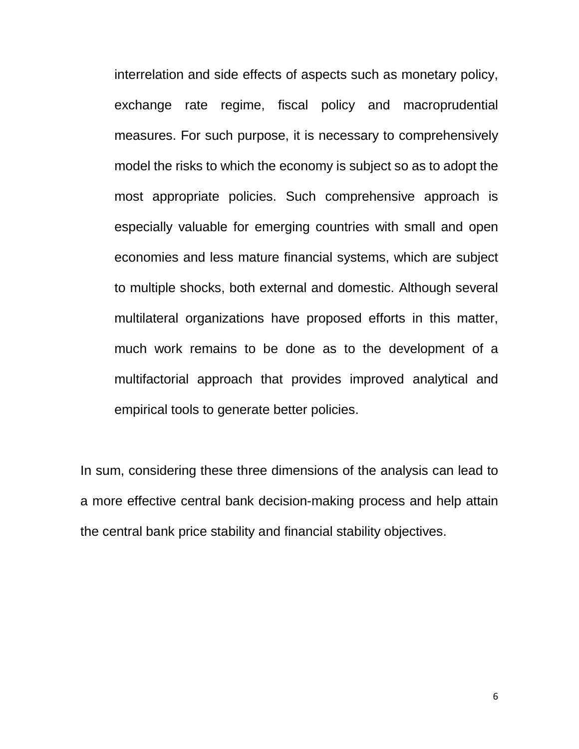interrelation and side effects of aspects such as monetary policy, exchange rate regime, fiscal policy and macroprudential measures. For such purpose, it is necessary to comprehensively model the risks to which the economy is subject so as to adopt the most appropriate policies. Such comprehensive approach is especially valuable for emerging countries with small and open economies and less mature financial systems, which are subject to multiple shocks, both external and domestic. Although several multilateral organizations have proposed efforts in this matter, much work remains to be done as to the development of a multifactorial approach that provides improved analytical and empirical tools to generate better policies.

In sum, considering these three dimensions of the analysis can lead to a more effective central bank decision-making process and help attain the central bank price stability and financial stability objectives.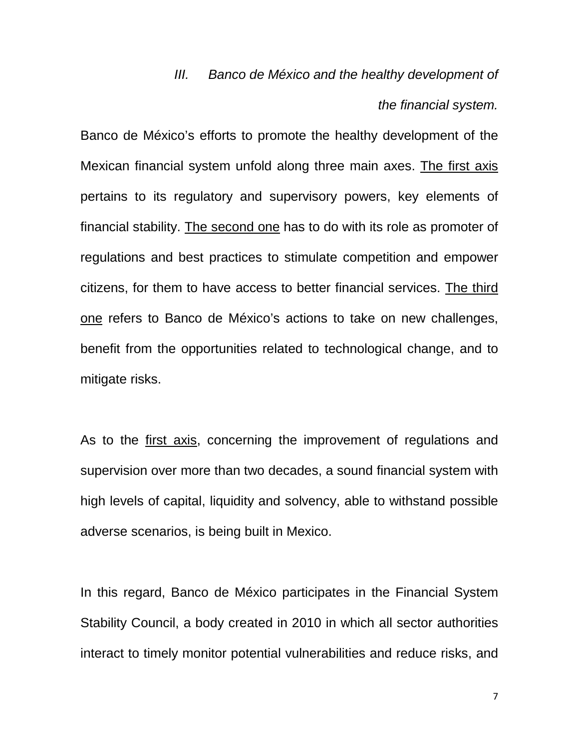## *III. Banco de México and the healthy development of the financial system.*

Banco de México's efforts to promote the healthy development of the Mexican financial system unfold along three main axes. The first axis pertains to its regulatory and supervisory powers, key elements of financial stability. The second one has to do with its role as promoter of regulations and best practices to stimulate competition and empower citizens, for them to have access to better financial services. The third one refers to Banco de México's actions to take on new challenges, benefit from the opportunities related to technological change, and to mitigate risks.

As to the first axis, concerning the improvement of regulations and supervision over more than two decades, a sound financial system with high levels of capital, liquidity and solvency, able to withstand possible adverse scenarios, is being built in Mexico.

In this regard, Banco de México participates in the Financial System Stability Council, a body created in 2010 in which all sector authorities interact to timely monitor potential vulnerabilities and reduce risks, and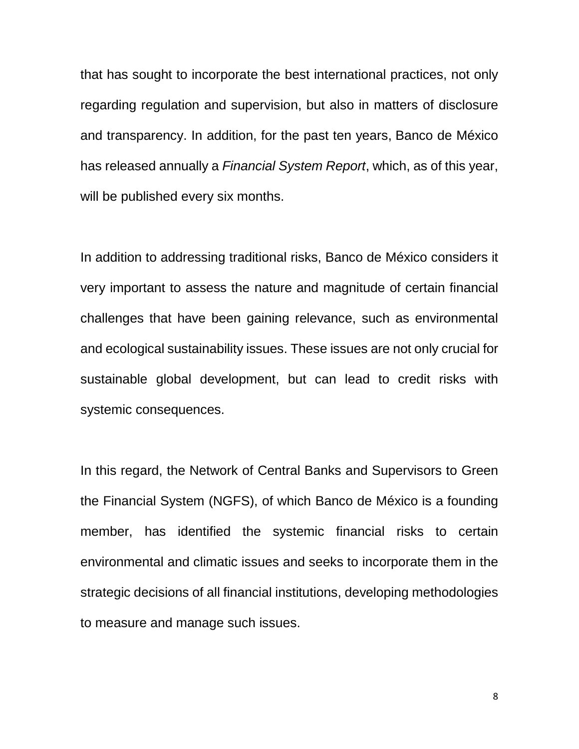that has sought to incorporate the best international practices, not only regarding regulation and supervision, but also in matters of disclosure and transparency. In addition, for the past ten years, Banco de México has released annually a *Financial System Report*, which, as of this year, will be published every six months.

In addition to addressing traditional risks, Banco de México considers it very important to assess the nature and magnitude of certain financial challenges that have been gaining relevance, such as environmental and ecological sustainability issues. These issues are not only crucial for sustainable global development, but can lead to credit risks with systemic consequences.

In this regard, the Network of Central Banks and Supervisors to Green the Financial System (NGFS), of which Banco de México is a founding member, has identified the systemic financial risks to certain environmental and climatic issues and seeks to incorporate them in the strategic decisions of all financial institutions, developing methodologies to measure and manage such issues.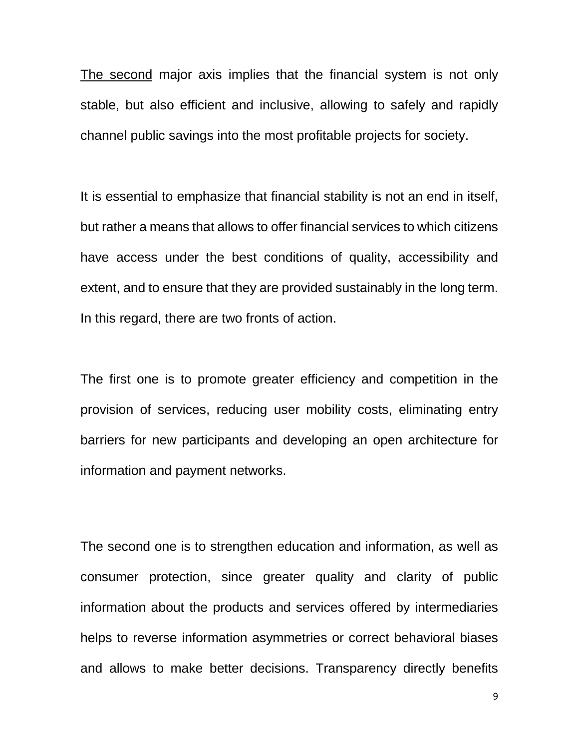The second major axis implies that the financial system is not only stable, but also efficient and inclusive, allowing to safely and rapidly channel public savings into the most profitable projects for society.

It is essential to emphasize that financial stability is not an end in itself, but rather a means that allows to offer financial services to which citizens have access under the best conditions of quality, accessibility and extent, and to ensure that they are provided sustainably in the long term. In this regard, there are two fronts of action.

The first one is to promote greater efficiency and competition in the provision of services, reducing user mobility costs, eliminating entry barriers for new participants and developing an open architecture for information and payment networks.

The second one is to strengthen education and information, as well as consumer protection, since greater quality and clarity of public information about the products and services offered by intermediaries helps to reverse information asymmetries or correct behavioral biases and allows to make better decisions. Transparency directly benefits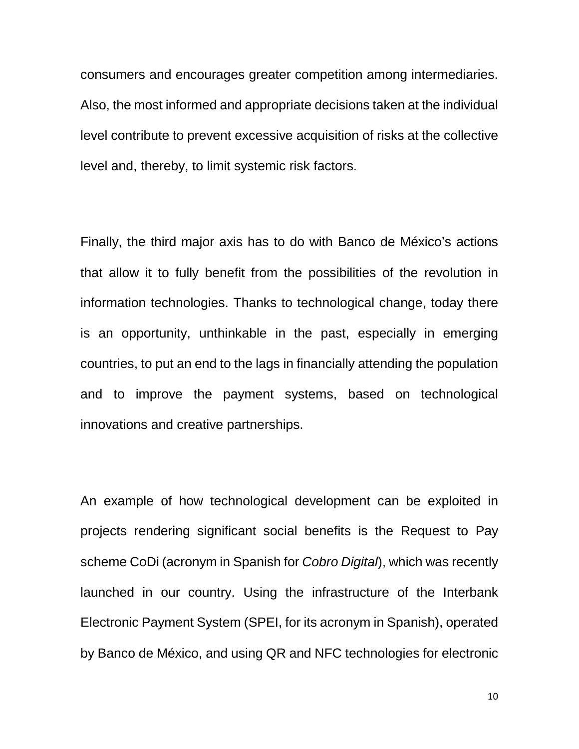consumers and encourages greater competition among intermediaries. Also, the most informed and appropriate decisions taken at the individual level contribute to prevent excessive acquisition of risks at the collective level and, thereby, to limit systemic risk factors.

Finally, the third major axis has to do with Banco de México's actions that allow it to fully benefit from the possibilities of the revolution in information technologies. Thanks to technological change, today there is an opportunity, unthinkable in the past, especially in emerging countries, to put an end to the lags in financially attending the population and to improve the payment systems, based on technological innovations and creative partnerships.

An example of how technological development can be exploited in projects rendering significant social benefits is the Request to Pay scheme CoDi (acronym in Spanish for *Cobro Digital*), which was recently launched in our country. Using the infrastructure of the Interbank Electronic Payment System (SPEI, for its acronym in Spanish), operated by Banco de México, and using QR and NFC technologies for electronic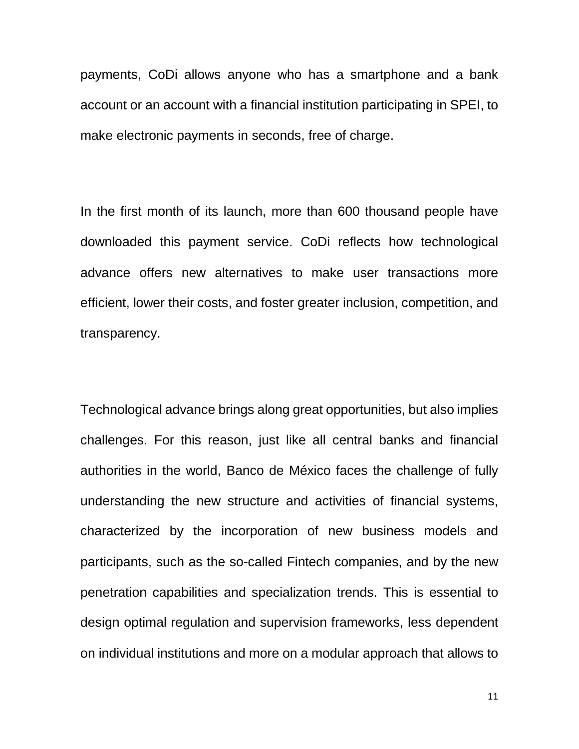payments, CoDi allows anyone who has a smartphone and a bank account or an account with a financial institution participating in SPEI, to make electronic payments in seconds, free of charge.

In the first month of its launch, more than 600 thousand people have downloaded this payment service. CoDi reflects how technological advance offers new alternatives to make user transactions more efficient, lower their costs, and foster greater inclusion, competition, and transparency.

Technological advance brings along great opportunities, but also implies challenges. For this reason, just like all central banks and financial authorities in the world, Banco de México faces the challenge of fully understanding the new structure and activities of financial systems, characterized by the incorporation of new business models and participants, such as the so-called Fintech companies, and by the new penetration capabilities and specialization trends. This is essential to design optimal regulation and supervision frameworks, less dependent on individual institutions and more on a modular approach that allows to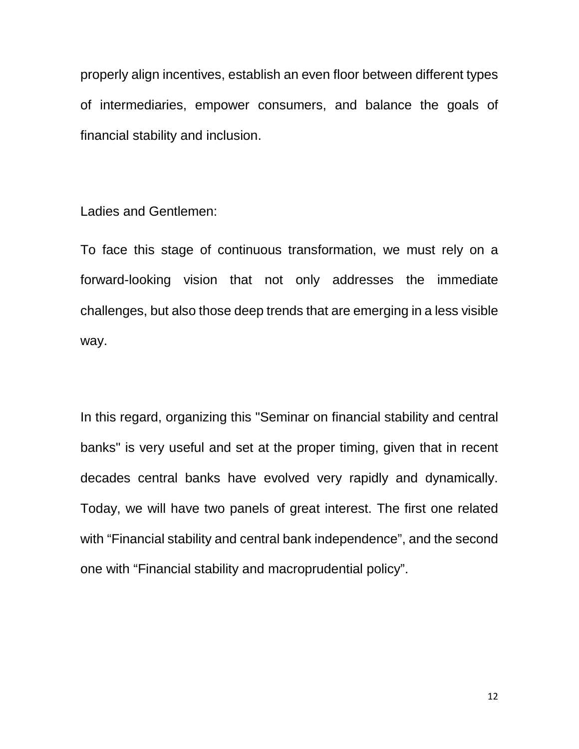properly align incentives, establish an even floor between different types of intermediaries, empower consumers, and balance the goals of financial stability and inclusion.

Ladies and Gentlemen:

To face this stage of continuous transformation, we must rely on a forward-looking vision that not only addresses the immediate challenges, but also those deep trends that are emerging in a less visible way.

In this regard, organizing this "Seminar on financial stability and central banks" is very useful and set at the proper timing, given that in recent decades central banks have evolved very rapidly and dynamically. Today, we will have two panels of great interest. The first one related with "Financial stability and central bank independence", and the second one with "Financial stability and macroprudential policy".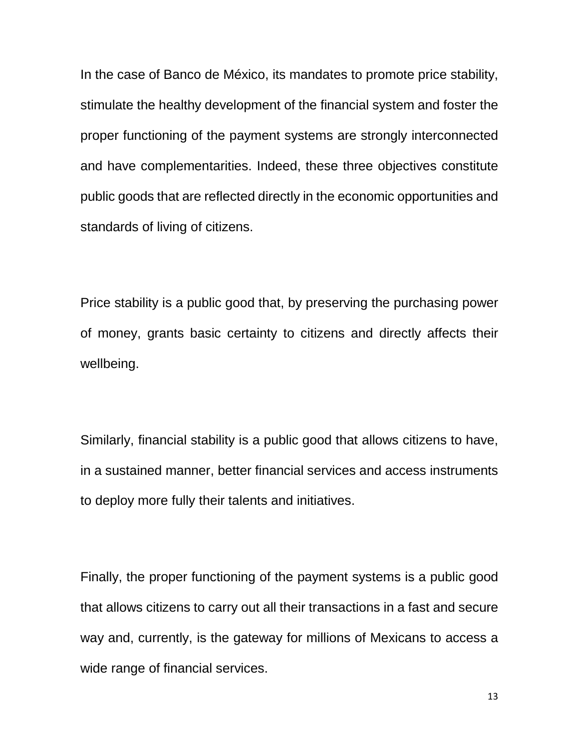In the case of Banco de México, its mandates to promote price stability, stimulate the healthy development of the financial system and foster the proper functioning of the payment systems are strongly interconnected and have complementarities. Indeed, these three objectives constitute public goods that are reflected directly in the economic opportunities and standards of living of citizens.

Price stability is a public good that, by preserving the purchasing power of money, grants basic certainty to citizens and directly affects their wellbeing.

Similarly, financial stability is a public good that allows citizens to have, in a sustained manner, better financial services and access instruments to deploy more fully their talents and initiatives.

Finally, the proper functioning of the payment systems is a public good that allows citizens to carry out all their transactions in a fast and secure way and, currently, is the gateway for millions of Mexicans to access a wide range of financial services.